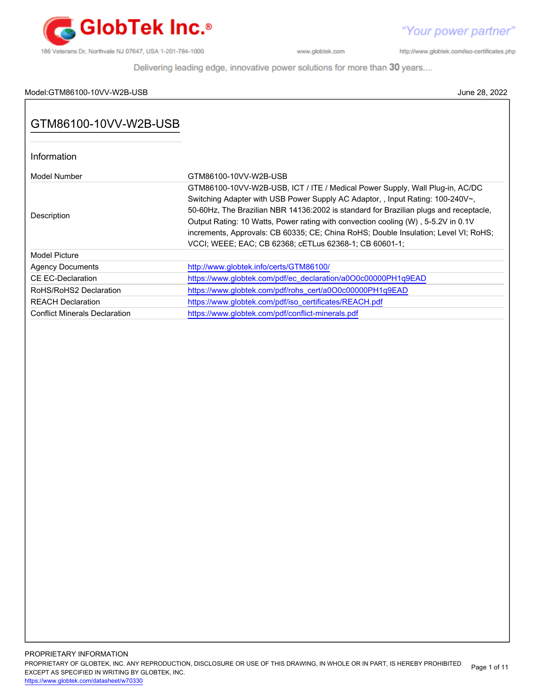

http://www.globtek.com/iso-certificates.php

Delivering leading edge, innovative power solutions for more than 30 years....

# Model:GTM86100-10VV-W2B-USB June 28, 2022

| Information                          |                                                                                                                                                                                                                                                                                                                                                                                                                                                                                               |
|--------------------------------------|-----------------------------------------------------------------------------------------------------------------------------------------------------------------------------------------------------------------------------------------------------------------------------------------------------------------------------------------------------------------------------------------------------------------------------------------------------------------------------------------------|
| Model Number                         | GTM86100-10VV-W2B-USB                                                                                                                                                                                                                                                                                                                                                                                                                                                                         |
| Description                          | GTM86100-10VV-W2B-USB, ICT / ITE / Medical Power Supply, Wall Plug-in, AC/DC<br>Switching Adapter with USB Power Supply AC Adaptor, , Input Rating: 100-240V~,<br>50-60Hz, The Brazilian NBR 14136:2002 is standard for Brazilian plugs and receptacle,<br>Output Rating: 10 Watts, Power rating with convection cooling (W), 5-5.2V in 0.1V<br>increments, Approvals: CB 60335; CE; China RoHS; Double Insulation; Level VI; RoHS;<br>VCCI; WEEE; EAC; CB 62368; cETLus 62368-1; CB 60601-1; |
| Model Picture                        |                                                                                                                                                                                                                                                                                                                                                                                                                                                                                               |
| <b>Agency Documents</b>              | http://www.globtek.info/certs/GTM86100/                                                                                                                                                                                                                                                                                                                                                                                                                                                       |
| CE EC-Declaration                    | https://www.globtek.com/pdf/ec_declaration/a0O0c00000PH1q9EAD                                                                                                                                                                                                                                                                                                                                                                                                                                 |
| RoHS/RoHS2 Declaration               | https://www.globtek.com/pdf/rohs_cert/a0O0c00000PH1q9EAD                                                                                                                                                                                                                                                                                                                                                                                                                                      |
| <b>REACH Declaration</b>             | https://www.globtek.com/pdf/iso_certificates/REACH.pdf                                                                                                                                                                                                                                                                                                                                                                                                                                        |
| <b>Conflict Minerals Declaration</b> | https://www.globtek.com/pdf/conflict-minerals.pdf                                                                                                                                                                                                                                                                                                                                                                                                                                             |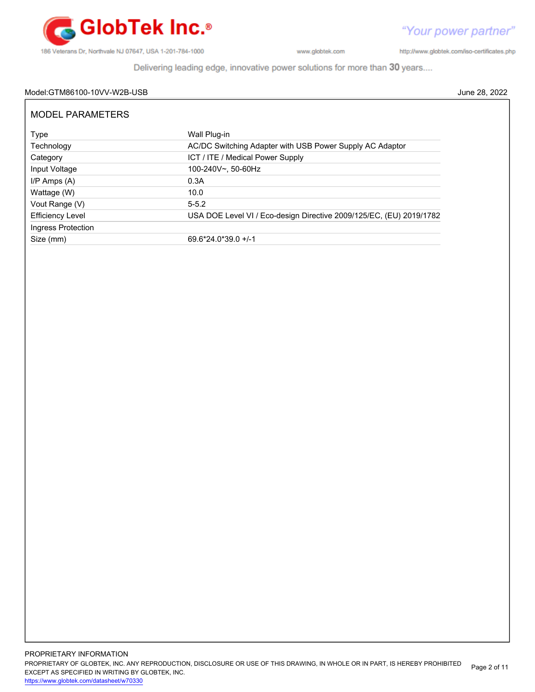

"Your power partner" http://www.globtek.com/iso-certificates.php

Delivering leading edge, innovative power solutions for more than 30 years....

# Model:GTM86100-10VV-W2B-USB June 28, 2022

| <b>MODEL PARAMETERS</b> |                                                                     |  |  |  |
|-------------------------|---------------------------------------------------------------------|--|--|--|
| Type                    | Wall Plug-in                                                        |  |  |  |
| Technology              | AC/DC Switching Adapter with USB Power Supply AC Adaptor            |  |  |  |
| Category                | ICT / ITE / Medical Power Supply                                    |  |  |  |
| Input Voltage           | 100-240V~, 50-60Hz                                                  |  |  |  |
| $I/P$ Amps $(A)$        | 0.3A                                                                |  |  |  |
| Wattage (W)             | 10.0                                                                |  |  |  |
| Vout Range (V)          | $5 - 5.2$                                                           |  |  |  |
| <b>Efficiency Level</b> | USA DOE Level VI / Eco-design Directive 2009/125/EC, (EU) 2019/1782 |  |  |  |
| Ingress Protection      |                                                                     |  |  |  |
| Size (mm)               | $69.6*24.0*39.0+/-1$                                                |  |  |  |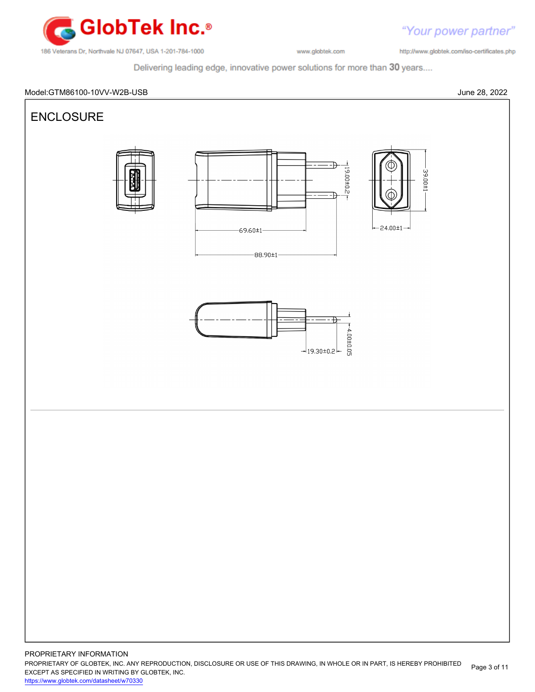

"Your power partner" http://www.globtek.com/iso-certificates.php

Delivering leading edge, innovative power solutions for more than 30 years....



PROPRIETARY OF GLOBTEK, INC. ANY REPRODUCTION, DISCLOSURE OR USE OF THIS DRAWING, IN WHOLE OR IN PART, IS HEREBY PROHIBITED EXCEPT AS SPECIFIED IN WRITING BY GLOBTEK, INC. Page 3 of 11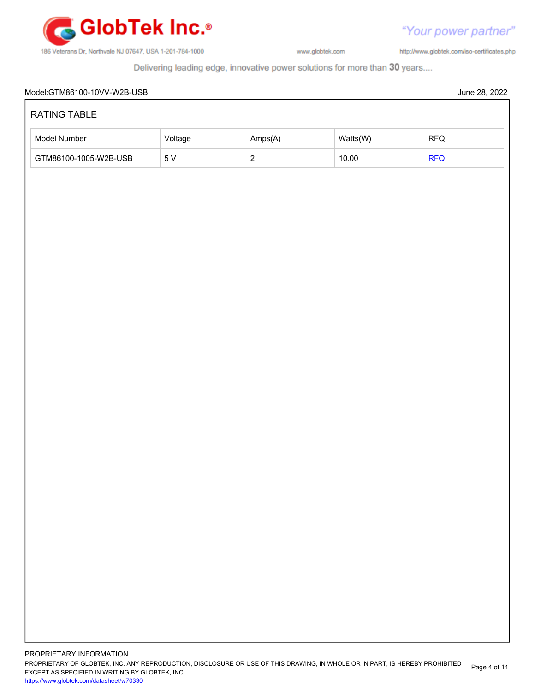

http://www.globtek.com/iso-certificates.php

Delivering leading edge, innovative power solutions for more than 30 years....

# Model:GTM86100-10VV-W2B-USB June 28, 2022 PROPRIETARY INFORMATION RATING TABLE Model Number **Amps(A)** Watts(W) RFQ GTM86100-1005-W2B-USB 5 V 2 10.00 [RFQ](https://en.globtek.com/model/id/a0O0c00000PH1q9EAD)

PROPRIETARY OF GLOBTEK, INC. ANY REPRODUCTION, DISCLOSURE OR USE OF THIS DRAWING, IN WHOLE OR IN PART, IS HEREBY PROHIBITED EXCEPT AS SPECIFIED IN WRITING BY GLOBTEK, INC. Page 4 of 11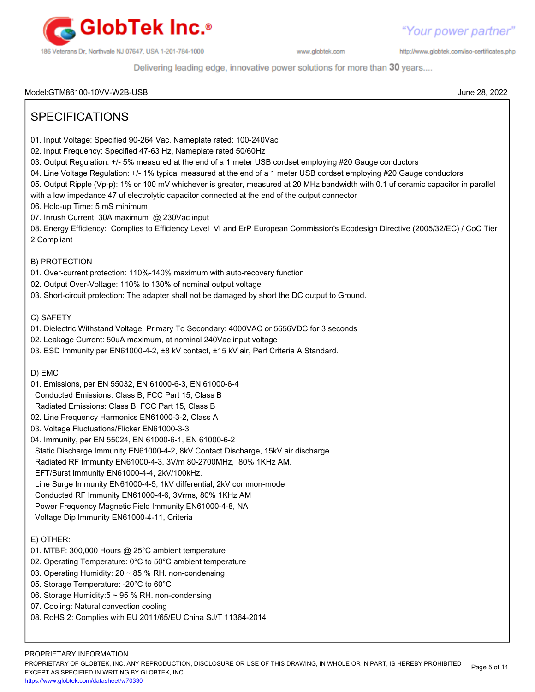

http://www.globtek.com/iso-certificates.php

Delivering leading edge, innovative power solutions for more than 30 years....

# Model:GTM86100-10VV-W2B-USB June 28, 2022

Page 5 of 11

| <b>SPECIFICATIONS</b>                                                                                                                                                                                                                                                                                                                                                                                                                                                                                                                                                                                                                                                                                                                                                                                                                                            |
|------------------------------------------------------------------------------------------------------------------------------------------------------------------------------------------------------------------------------------------------------------------------------------------------------------------------------------------------------------------------------------------------------------------------------------------------------------------------------------------------------------------------------------------------------------------------------------------------------------------------------------------------------------------------------------------------------------------------------------------------------------------------------------------------------------------------------------------------------------------|
| 01. Input Voltage: Specified 90-264 Vac, Nameplate rated: 100-240Vac<br>02. Input Frequency: Specified 47-63 Hz, Nameplate rated 50/60Hz<br>03. Output Regulation: +/- 5% measured at the end of a 1 meter USB cordset employing #20 Gauge conductors<br>04. Line Voltage Regulation: +/- 1% typical measured at the end of a 1 meter USB cordset employing #20 Gauge conductors<br>05. Output Ripple (Vp-p): 1% or 100 mV whichever is greater, measured at 20 MHz bandwidth with 0.1 uf ceramic capacitor in parallel<br>with a low impedance 47 uf electrolytic capacitor connected at the end of the output connector<br>06. Hold-up Time: 5 mS minimum<br>07. Inrush Current: 30A maximum @ 230Vac input<br>08. Energy Efficiency: Complies to Efficiency Level VI and ErP European Commission's Ecodesign Directive (2005/32/EC) / CoC Tier<br>2 Compliant |
| B) PROTECTION<br>01. Over-current protection: 110%-140% maximum with auto-recovery function<br>02. Output Over-Voltage: 110% to 130% of nominal output voltage<br>03. Short-circuit protection: The adapter shall not be damaged by short the DC output to Ground.                                                                                                                                                                                                                                                                                                                                                                                                                                                                                                                                                                                               |
| C) SAFETY<br>01. Dielectric Withstand Voltage: Primary To Secondary: 4000VAC or 5656VDC for 3 seconds<br>02. Leakage Current: 50uA maximum, at nominal 240Vac input voltage<br>03. ESD Immunity per EN61000-4-2, ±8 kV contact, ±15 kV air, Perf Criteria A Standard.                                                                                                                                                                                                                                                                                                                                                                                                                                                                                                                                                                                            |
| D) EMC<br>01. Emissions, per EN 55032, EN 61000-6-3, EN 61000-6-4<br>Conducted Emissions: Class B, FCC Part 15, Class B<br>Radiated Emissions: Class B, FCC Part 15, Class B<br>02. Line Frequency Harmonics EN61000-3-2, Class A<br>03. Voltage Fluctuations/Flicker EN61000-3-3<br>04. Immunity, per EN 55024, EN 61000-6-1, EN 61000-6-2<br>Static Discharge Immunity EN61000-4-2, 8kV Contact Discharge, 15kV air discharge<br>Radiated RF Immunity EN61000-4-3, 3V/m 80-2700MHz, 80% 1KHz AM.<br>EFT/Burst Immunity EN61000-4-4, 2kV/100kHz.<br>Line Surge Immunity EN61000-4-5, 1kV differential, 2kV common-mode<br>Conducted RF Immunity EN61000-4-6, 3Vrms, 80% 1KHz AM<br>Power Frequency Magnetic Field Immunity EN61000-4-8, NA<br>Voltage Dip Immunity EN61000-4-11, Criteria                                                                       |
| E) OTHER:<br>01. MTBF: 300,000 Hours @ 25°C ambient temperature<br>02. Operating Temperature: 0°C to 50°C ambient temperature<br>03. Operating Humidity: 20 ~ 85 % RH. non-condensing<br>05. Storage Temperature: - 20°C to 60°C<br>06. Storage Humidity:5 ~ 95 % RH. non-condensing<br>07. Cooling: Natural convection cooling<br>08. RoHS 2: Complies with EU 2011/65/EU China SJ/T 11364-2014                                                                                                                                                                                                                                                                                                                                                                                                                                                                 |
| PROPRIETARY INFORMATION                                                                                                                                                                                                                                                                                                                                                                                                                                                                                                                                                                                                                                                                                                                                                                                                                                          |

PROPRIETARY OF GLOBTEK, INC. ANY REPRODUCTION, DISCLOSURE OR USE OF THIS DRAWING, IN WHOLE OR IN PART, IS HEREBY PROHIBITED

EXCEPT AS SPECIFIED IN WRITING BY GLOBTEK, INC. <https://www.globtek.com/datasheet/w70330>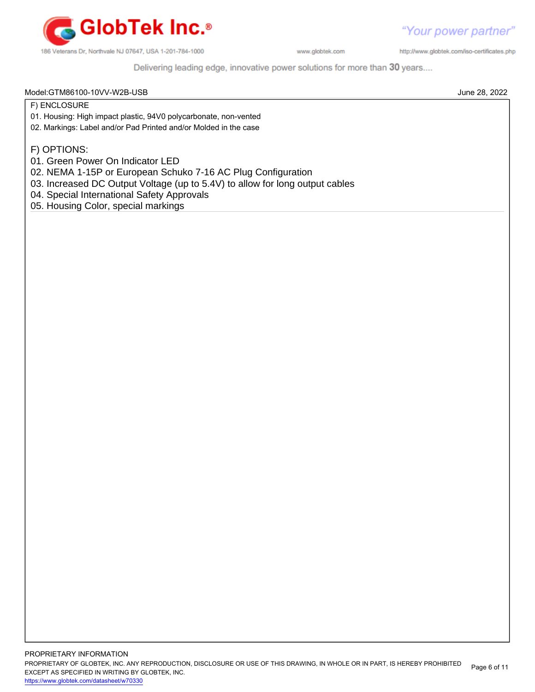

http://www.globtek.com/iso-certificates.php

Delivering leading edge, innovative power solutions for more than 30 years....

#### Model:GTM86100-10VV-W2B-USB June 28, 2022

F) ENCLOSURE

- 01. Housing: High impact plastic, 94V0 polycarbonate, non-vented
- 02. Markings: Label and/or Pad Printed and/or Molded in the case

F) OPTIONS:

- 01. Green Power On Indicator LED
- 02. NEMA 1-15P or European Schuko 7-16 AC Plug Configuration
- 03. Increased DC Output Voltage (up to 5.4V) to allow for long output cables
- 04. Special International Safety Approvals
- 05. Housing Color, special markings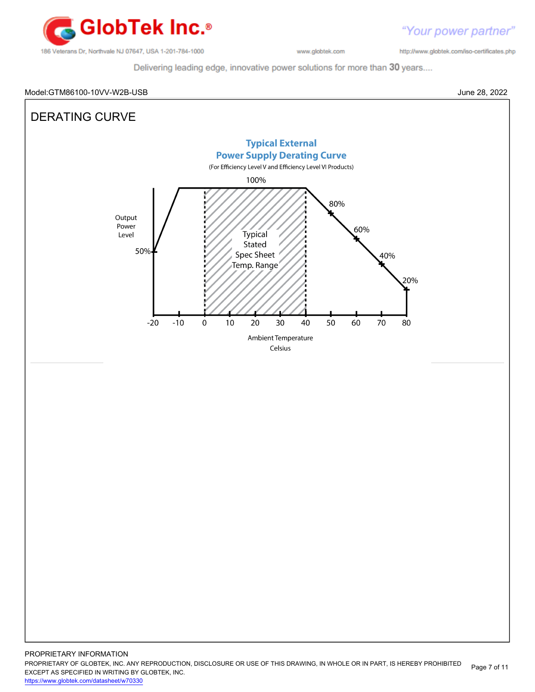

http://www.globtek.com/iso-certificates.php

Delivering leading edge, innovative power solutions for more than 30 years....

# Model:GTM86100-10VV-W2B-USB June 28, 2022



PROPRIETARY OF GLOBTEK, INC. ANY REPRODUCTION, DISCLOSURE OR USE OF THIS DRAWING, IN WHOLE OR IN PART, IS HEREBY PROHIBITED EXCEPT AS SPECIFIED IN WRITING BY GLOBTEK, INC. Page 7 of 11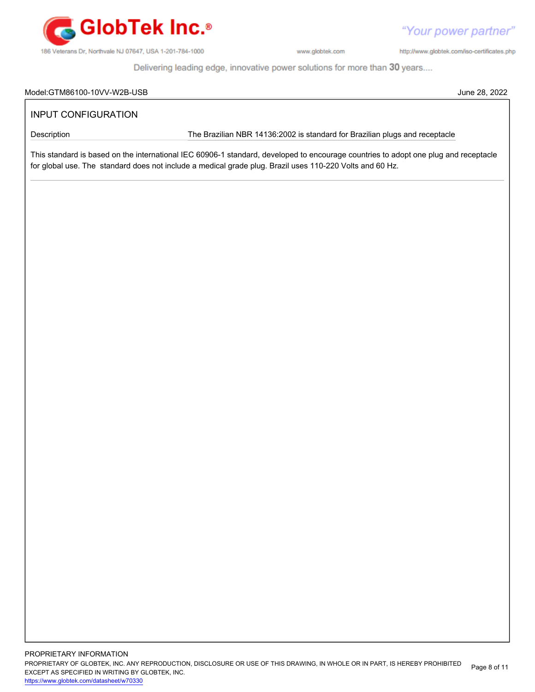

http://www.globtek.com/iso-certificates.php

"Your power partner"

Delivering leading edge, innovative power solutions for more than 30 years....

#### Model:GTM86100-10VV-W2B-USB June 28, 2022

# INPUT CONFIGURATION

Description **The Brazilian NBR 14136:2002** is standard for Brazilian plugs and receptacle

This standard is based on the international IEC 60906-1 standard, developed to encourage countries to adopt one plug and receptacle for global use. The standard does not include a medical grade plug. Brazil uses 110-220 Volts and 60 Hz.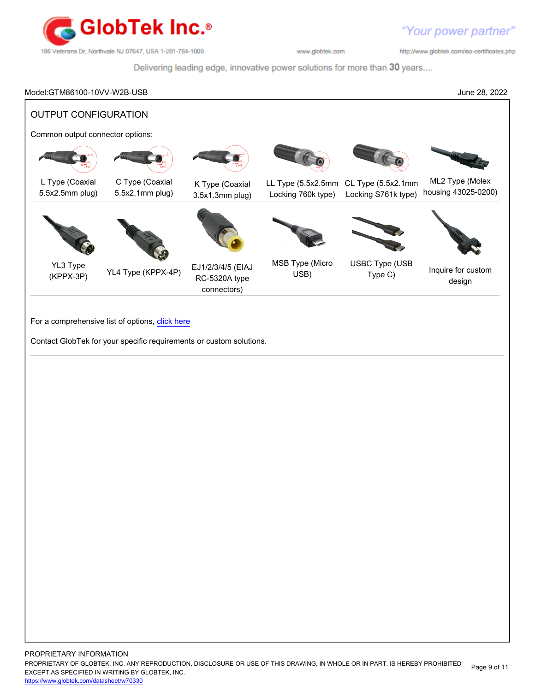

http://www.globtek.com/iso-certificates.php

Delivering leading edge, innovative power solutions for more than 30 years....

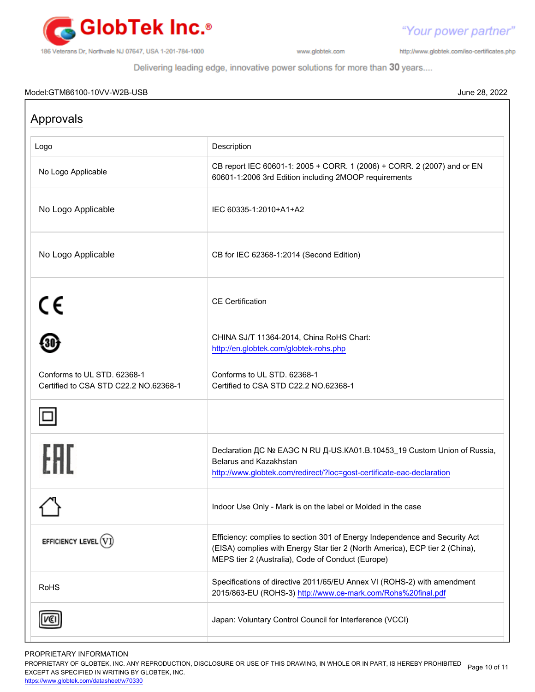

http://www.globtek.com/iso-certificates.php

"Your power partner"

Delivering leading edge, innovative power solutions for more than 30 years....

### Model:GTM86100-10VV-W2B-USB June 28, 2022

| Approvals                                                            |                                                                                                                                                                                                                  |  |  |  |
|----------------------------------------------------------------------|------------------------------------------------------------------------------------------------------------------------------------------------------------------------------------------------------------------|--|--|--|
| Logo                                                                 | Description                                                                                                                                                                                                      |  |  |  |
| No Logo Applicable                                                   | CB report IEC 60601-1: 2005 + CORR. 1 (2006) + CORR. 2 (2007) and or EN<br>60601-1:2006 3rd Edition including 2MOOP requirements                                                                                 |  |  |  |
| No Logo Applicable                                                   | IEC 60335-1:2010+A1+A2                                                                                                                                                                                           |  |  |  |
| No Logo Applicable                                                   | CB for IEC 62368-1:2014 (Second Edition)                                                                                                                                                                         |  |  |  |
| CE                                                                   | <b>CE</b> Certification                                                                                                                                                                                          |  |  |  |
|                                                                      | CHINA SJ/T 11364-2014, China RoHS Chart:<br>http://en.globtek.com/globtek-rohs.php                                                                                                                               |  |  |  |
| Conforms to UL STD. 62368-1<br>Certified to CSA STD C22.2 NO.62368-1 | Conforms to UL STD. 62368-1<br>Certified to CSA STD C22.2 NO.62368-1                                                                                                                                             |  |  |  |
|                                                                      |                                                                                                                                                                                                                  |  |  |  |
|                                                                      | Declaration <sub>AC</sub> Nº EAOC N RU A-US.KA01.B.10453_19 Custom Union of Russia,<br>Belarus and Kazakhstan<br>http://www.globtek.com/redirect/?loc=gost-certificate-eac-declaration                           |  |  |  |
| ⌒¶                                                                   | Indoor Use Only - Mark is on the label or Molded in the case                                                                                                                                                     |  |  |  |
| EFFICIENCY LEVEL $(VI)$                                              | Efficiency: complies to section 301 of Energy Independence and Security Act<br>(EISA) complies with Energy Star tier 2 (North America), ECP tier 2 (China),<br>MEPS tier 2 (Australia), Code of Conduct (Europe) |  |  |  |
| <b>RoHS</b>                                                          | Specifications of directive 2011/65/EU Annex VI (ROHS-2) with amendment<br>2015/863-EU (ROHS-3) http://www.ce-mark.com/Rohs%20final.pdf                                                                          |  |  |  |
|                                                                      | Japan: Voluntary Control Council for Interference (VCCI)                                                                                                                                                         |  |  |  |

# PROPRIETARY INFORMATION

PROPRIETARY OF GLOBTEK, INC. ANY REPRODUCTION, DISCLOSURE OR USE OF THIS DRAWING, IN WHOLE OR IN PART, IS HEREBY PROHIBITED Page 10 of 11<br>EXALER 10 OREGIEIER WILKENIG BY OLOREEK WO EXCEPT AS SPECIFIED IN WRITING BY GLOBTEK, INC.

<https://www.globtek.com/datasheet/w70330>